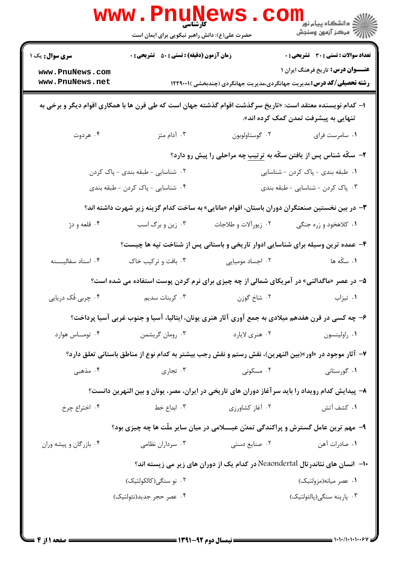|                                                                                                                                                   | <b>WWW.PNUNGWS</b><br>حضرت علی(ع): دانش راهبر نیکویی برای ایمان است                                   |                      | لاد دانشگاه پيام نور<br>الاه مرکز آزمون وسنجش                                                                                                                           |  |  |  |
|---------------------------------------------------------------------------------------------------------------------------------------------------|-------------------------------------------------------------------------------------------------------|----------------------|-------------------------------------------------------------------------------------------------------------------------------------------------------------------------|--|--|--|
| <b>سری سوال :</b> یک ۱<br>www.PnuNews.com<br>www.PnuNews.net                                                                                      | <b>زمان آزمون (دقیقه) : تستی : 50 ٪ تشریحی : 0</b>                                                    |                      | <b>تعداد سوالات : تستی : 30 ٪ تشریحی : 0</b><br><b>عنـــوان درس:</b> تاریخ فرهنگ ایران ۱<br><b>رشته تحصیلی/کد درس:</b> مدیریت جهانگردی،مدیریت جهانگردی (چندبخشی )۲۲۹۰۰۱ |  |  |  |
| ا– کدام نویسنده معتقد است: «تاریخ سرگذشت اقوام گذشته جهان است که طی قرن ها با همکاری اقوام دیگر و برخی به<br>تنهایی به پیشرفت تمدن کمک کرده اند». |                                                                                                       |                      |                                                                                                                                                                         |  |  |  |
| ۰۴ هردوت                                                                                                                                          | ۰۳ آدام متز                                                                                           | ۰۲ گوستاولوبون       | ۰۱ سامرست فرای                                                                                                                                                          |  |  |  |
|                                                                                                                                                   |                                                                                                       |                      | <b>۲</b> - سکّه شناس پس از یافتن سکّه به ترتیب چه مراحلی را پیش رو دارد؟                                                                                                |  |  |  |
| ۰۲ شناسایی - طبقه بندی - پاک کردن                                                                                                                 |                                                                                                       |                      | ۰۱ طبقه بندی - پاک کردن - شناسایی                                                                                                                                       |  |  |  |
| ۰۴ شناسایی - پاک کردن - طبقه بندی                                                                                                                 |                                                                                                       |                      | ۰۳ پاک کردن - شناسایی - طبقه بندی                                                                                                                                       |  |  |  |
| ۳- در بین نخستین صنعتگران دوران باستان، اقوام «مانایی» به ساخت کدام گزینه زیر شهرت داشته اند؟                                                     |                                                                                                       |                      |                                                                                                                                                                         |  |  |  |
| ۰۴ قلعه و دژ                                                                                                                                      | ۰۳ زین و برگ اسب                                                                                      | ۰۲ زیورآلات و طلاجات | ۰۱ کلاهخود و زره جنگی                                                                                                                                                   |  |  |  |
|                                                                                                                                                   |                                                                                                       |                      | ۴- عمده ترین وسیله برای شناسایی ادوار تاریخی و باستانی پس از شناخت تپه ها چیست؟                                                                                         |  |  |  |
| ۰۴ اسناد سفالیسنه                                                                                                                                 | ۰۳ بافت و ترکیب خاک                                                                                   | ۰۲ اجساد مومیایی     | ۰۱ سکّه ها                                                                                                                                                              |  |  |  |
|                                                                                                                                                   | ۵– در عصر «ماگدالنی» در آمریکای شمالی از چه چیزی برای نرم کردن پوست استفاده می شده است؟               |                      |                                                                                                                                                                         |  |  |  |
| ۰۴ چربي فُک دريايي                                                                                                                                | ۰۳ کربنات سدیم                                                                                        | ۰۲ شاخ گوزن          | ۰۱ تیزاب                                                                                                                                                                |  |  |  |
|                                                                                                                                                   | ۶– چه کسی در قرن هفدهم میلادی به جمع آوری آثار هنری یونان، ایتالیا، آسیا و جنوب غربی آسیا پرداخت؟     |                      |                                                                                                                                                                         |  |  |  |
| ۰۴ تومــاس هوارد                                                                                                                                  | ۰۳ رومان گريشمن                                                                                       | ۰۲ هنري لايارد       | ۰۱ راولينسون                                                                                                                                                            |  |  |  |
|                                                                                                                                                   | ۷- آثار موجود در «اور»(بین النهرین)، نقش رستم و نقش رجب بیشتر به کدام نوع از مناطق باستانی تعلق دارد؟ |                      |                                                                                                                                                                         |  |  |  |
| ۰۴ مذهبی                                                                                                                                          | ۰۳ تجاری                                                                                              | ۰۲ مسکونی            | ۰۱ گورستانی                                                                                                                                                             |  |  |  |
| ۸– پیدایش کدام رویداد را باید سرآغاز دوران های تاریخی در ایران، مصر، یونان و بین النهرین دانست؟                                                   |                                                                                                       |                      |                                                                                                                                                                         |  |  |  |
| ۰۴ اختراع چرخ                                                                                                                                     | ۰۳ ابداع خط                                                                                           | ۰۲ آغاز کشاورزی      | ۰۱ کشف آتش                                                                                                                                                              |  |  |  |
|                                                                                                                                                   | ۹- مهم ترین عامل گسترش و پراکندگی تمدّن عیــــلامی در میان سایر ملّت ها چه چیزی بود؟                  |                      |                                                                                                                                                                         |  |  |  |
| ۰۴ بازرگان و پیشه وران                                                                                                                            | ۰۳ سرداران نظامی                                                                                      | ۰۲ صنایع دستی        | ٠١ صادرات آهن                                                                                                                                                           |  |  |  |
|                                                                                                                                                   |                                                                                                       |                      | +ا–  انسان های نئاندر تال Neaondertal در کدام یک از دوران های زیر می زیسته اند؟                                                                                         |  |  |  |
|                                                                                                                                                   | ۰۲ نو سنگی(کالکولتیک)                                                                                 |                      | ۰۱ عصر میانه(مزولتیک)                                                                                                                                                   |  |  |  |
|                                                                                                                                                   | ۰۴ عصر حجر جديد(نئولتيک)                                                                              |                      | ۰۳ پارینه سنگی(پالئولتیک)                                                                                                                                               |  |  |  |
|                                                                                                                                                   |                                                                                                       |                      |                                                                                                                                                                         |  |  |  |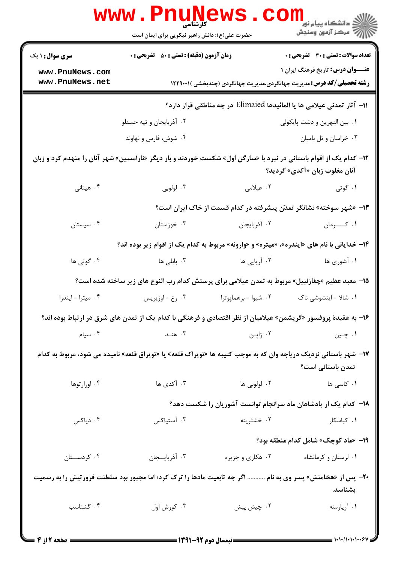| <b>سری سوال : ۱ یک</b>                                                                                                                                       | حضرت علی(ع): دانش راهبر نیکویی برای ایمان است<br><b>زمان آزمون (دقیقه) : تستی : 50 ٪ تشریحی : 0</b> |                      | رد دانشڪاه پيام نور ■<br>ا√ مرکز آزمون وسنڊش<br>تعداد سوالات : تستي : 30 ٪ تشريحي : 0                                     |  |  |  |
|--------------------------------------------------------------------------------------------------------------------------------------------------------------|-----------------------------------------------------------------------------------------------------|----------------------|---------------------------------------------------------------------------------------------------------------------------|--|--|--|
|                                                                                                                                                              |                                                                                                     |                      |                                                                                                                           |  |  |  |
|                                                                                                                                                              |                                                                                                     |                      |                                                                                                                           |  |  |  |
| www.PnuNews.com<br>www.PnuNews.net                                                                                                                           |                                                                                                     |                      | <b>عنـــوان درس:</b> تاریخ فرهنگ ایران ۱<br><b>رشته تحصیلی/کد درس:</b> مدیریت جهانگردی،مدیریت جهانگردی (چندبخشی )۲۲۹۰۰۱ ا |  |  |  |
| اا− آثار تمدنی عیلامی ها یا المائیدها Elimaied در چه مناطقی قرار دارد؟                                                                                       |                                                                                                     |                      |                                                                                                                           |  |  |  |
|                                                                                                                                                              | ۰۲ آذربایجان و تپه حسنلو                                                                            |                      | ۰۱ بین النهرین و دشت پایکولی                                                                                              |  |  |  |
|                                                                                                                                                              | ۰۴ شوش، فارس و نهاوند                                                                               |                      | ۰۳ خراسان و تل باميان                                                                                                     |  |  |  |
| ۱ <b>۲</b> – کدام یک از اقوام باستانی در نبرد با «سارگن اول» شکست خوردند و بار دیگر «نارامسین» شهر آنان را منهدم کرد و زبان<br>آنان مغلوب زبان «آكدى» گرديد؟ |                                                                                                     |                      |                                                                                                                           |  |  |  |
| ۰۴ هیتانی                                                                                                                                                    | ۰۳ لولوبي                                                                                           | ۲. عیلامی            | ۰۱ گوتی                                                                                                                   |  |  |  |
| ۱۳- «شهر سوخته» نشانگر تمدّن پیشرفته در کدام قسمت از خاک ایران است؟                                                                                          |                                                                                                     |                      |                                                                                                                           |  |  |  |
| ۰۴ سیستان                                                                                                                                                    | ۰۳ خوزستان                                                                                          | ٠٢ أذربايجان         | ۰۱ كسرمان                                                                                                                 |  |  |  |
|                                                                                                                                                              |                                                                                                     |                      | ۱۴- خدایانی با نام های «ایندره»، «میتره» و «وارونه» مربوط به کدام یک از اقوام زیر بوده اند؟                               |  |  |  |
| ۰۴ گوتی ها                                                                                                                                                   | ۰۳ بابلی ها                                                                                         | ۰۲ آریایی ها         | ۰۱ آشوری ها                                                                                                               |  |  |  |
| ۱۵– معبد عظیم «چغازنبیل» مربوط به تمدن عیلامی برای پرستش کدام رب النوع های زیر ساخته شده است؟                                                                |                                                                                                     |                      |                                                                                                                           |  |  |  |
| ۰۴ ميترا-ايندرا                                                                                                                                              | ۰۳ رع - اوزيريس                                                                                     | ۰۲ شیوا - برهماپوترا | ۰۱ شالا - اینشوشی ناک                                                                                                     |  |  |  |
| ۱۶- به عقیدهٔ پروفسور «گریشمن» عیلامیان از نظر اقتصادی و فرهنگی با کدام یک از تمدن های شرق در ارتباط بوده اند؟                                               |                                                                                                     |                      |                                                                                                                           |  |  |  |
| ۰۴ سیام                                                                                                                                                      | ۰۳ هنـد                                                                                             | ۰۲ ژاپـن             | ۰۱ چـین                                                                                                                   |  |  |  |
| ۱۷– شهر باستانی نزدیک دریاجه وان که به موجب کتیبه ها «توپراک قلعه» یا «توپراق قلعه» نامیده می شود، مربوط به کدام<br>تمدن باستانی است؟                        |                                                                                                     |                      |                                                                                                                           |  |  |  |
| ۰۴ اورارتوها                                                                                                                                                 | ۰۳ آکدی ها                                                                                          | ۰۲ لولوبی ها         | ۰ <b>۱</b> کاسی ها                                                                                                        |  |  |  |
|                                                                                                                                                              |                                                                                                     |                      | ۱۸– کدام یک از پادشاهان ماد سرانجام توانست آشوریان را شکست دهد؟                                                           |  |  |  |
| ۰۴ دیاکس                                                                                                                                                     | ۰۳ آستياكس                                                                                          | ۰۲ خشثریته           | ۰۱ کیاسکار                                                                                                                |  |  |  |
|                                                                                                                                                              |                                                                                                     |                      | 1۹- «ماد کوچک» شامل کدام منطقه بود؟                                                                                       |  |  |  |
| ۰۴ کردستان                                                                                                                                                   | ۰۳ آذربایسجان                                                                                       | ۰۲ هکاری و جزیره     | ۰۱ لرستان و کرمانشاه                                                                                                      |  |  |  |
| <b>۲۰</b> - پس از «هخامنش» پسر وی به نام  اگر چه تابعیت مادها را ترک کرد؛ اما مجبور بود سلطنت فرورتیش را به رسمیت<br>بشناسد.                                 |                                                                                                     |                      |                                                                                                                           |  |  |  |
| ۰۴ گشتاسب                                                                                                                                                    | ۰۳ کورش اول                                                                                         | ۰۲ چیش پیش           | ٠١ أريارمنه                                                                                                               |  |  |  |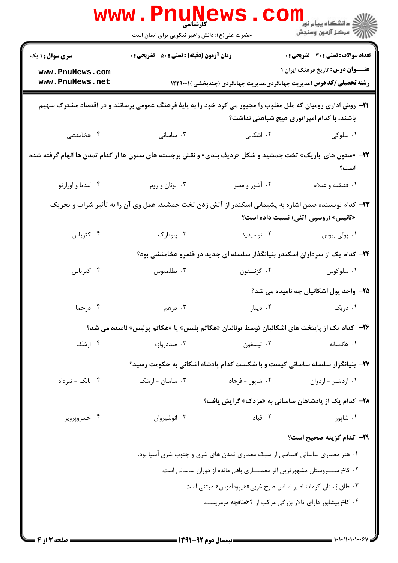|                                                                                                                                              | <b>WWW.PNUNEWS</b><br>کارشناسی<br>حضرت علی(ع): دانش راهبر نیکویی برای ایمان است                                      |                  | دانشگاه پیام نور<br>ا∛ مرکز آزمهن وسنجش                                                                                   |  |  |
|----------------------------------------------------------------------------------------------------------------------------------------------|----------------------------------------------------------------------------------------------------------------------|------------------|---------------------------------------------------------------------------------------------------------------------------|--|--|
| <b>سری سوال : ۱ یک</b>                                                                                                                       | <b>زمان آزمون (دقیقه) : تستی : 50 ٪ تشریحی : 0</b>                                                                   |                  | <b>تعداد سوالات : تستی : 30 ٪ تشریحی : 0</b>                                                                              |  |  |
| www.PnuNews.com<br>www.PnuNews.net                                                                                                           |                                                                                                                      |                  | <b>عنـــوان درس:</b> تاریخ فرهنگ ایران ۱<br><b>رشته تحصیلی/کد درس:</b> مدیریت جهانگردی،مدیریت جهانگردی (چندبخشی )۲۲۹۰۰۱ ا |  |  |
|                                                                                                                                              | <b>۲۱</b> - روش اداری رومیان که ملل مغلوب را مجبور می کرد خود را به پایهٔ فرهنگ عمومی برسانند و در اقتصاد مشترک سهیم |                  | باشند، با کدام امپراتوری هیچ شباهتی نداشت؟                                                                                |  |  |
| ۰۴ هخامنشی                                                                                                                                   | ۰۳ ساسانی                                                                                                            | ۲. اشکانی        | ۰۱ سلوکی                                                                                                                  |  |  |
| 7۲- «ستون های باریک» تخت جمشید و شکل «ردیف بندی» و نقش برجسته های ستون ها از کدام تمدن ها الهام گرفته شده                                    |                                                                                                                      |                  | است؟                                                                                                                      |  |  |
| ۰۴ لیدیا و اورارتو                                                                                                                           | ۰۳ يونان و روم                                                                                                       | ۰۲ آشور و مصر    | ٠١ فنيقيه و عيلام                                                                                                         |  |  |
| ۲۳– کدام نویسنده ضمن اشاره به پشیمانی اسکندر از آتش زدن تخت جمشید، عمل وی آن را به تأثیر شراب و تحریک<br>«تائیس» (روسپی آتنی) نسبت داده است؟ |                                                                                                                      |                  |                                                                                                                           |  |  |
| ۰۴ کتزیاس                                                                                                                                    | ۰۳ پلوتارک                                                                                                           | ۰۲ توسیدید       | ۰۱ پولی بیوس                                                                                                              |  |  |
|                                                                                                                                              |                                                                                                                      |                  | ۲۴– کدام یک از سرداران اسکندر بنیانگذار سلسله ای جدید در قلمرو هخامنشی بود؟                                               |  |  |
| ۰۴ کبریاس                                                                                                                                    | ۰۳ بطلمیوس                                                                                                           | ۰۲ گزنــفون      | ۰۱ سلوکوس                                                                                                                 |  |  |
|                                                                                                                                              |                                                                                                                      |                  | ۲۵- واحد پول اشکانیان چه نامیده می شد؟                                                                                    |  |  |
| ۰۴ درخما                                                                                                                                     | ۰۳ درهم                                                                                                              |                  | ۰۱ دریک دریک است.                                                                                                         |  |  |
|                                                                                                                                              | ۲۶− کدام یک از پایتخت های اشکانیان توسط یونانیان «هکاتم پلیس» یا «هکاتم پولیس» نامیده می شد؟                         |                  |                                                                                                                           |  |  |
| ۰۴ ارشک                                                                                                                                      | ۰۳ صددروازه                                                                                                          | ۰۲ تيسفون        | ۰۱ هگمتانه                                                                                                                |  |  |
| ۲۷- بنیانگزار سلسله ساسانی کیست و با شکست کدام پادشاه اشکانی به حکومت رسید؟                                                                  |                                                                                                                      |                  |                                                                                                                           |  |  |
| ۰۴ بابک - تیرداد                                                                                                                             | ۰۳ ساسان - ارشک                                                                                                      | ۰۲ شاپور - فرهاد | ۰۱ اردشیر - اردوان                                                                                                        |  |  |
|                                                                                                                                              |                                                                                                                      |                  | <b>۲۸</b> - کدام یک از پادشاهان ساسانی به «مزدک» گرایش یافت؟                                                              |  |  |
| ۰۴ خسروپرويز                                                                                                                                 | ۰۳ انوشيروان                                                                                                         | ٠٢ قباد          | ۰۱ شاپور                                                                                                                  |  |  |
|                                                                                                                                              |                                                                                                                      |                  | ٢٩- كدام گزينه صحيح است؟                                                                                                  |  |  |
|                                                                                                                                              | ۰۱ هنر معماری ساسانی اقتباسی از سبک معماری تمدن های شرق و جنوب شرق آسیا بود.                                         |                  |                                                                                                                           |  |  |
| ٢. كاخ ســـروستان مشهورترين اثر معمــــارى باقى مانده از دوران ساسانى است.                                                                   |                                                                                                                      |                  |                                                                                                                           |  |  |
| ۰۳ طاق بستان کرمانشاه بر اساس طرح غربی«هیپوداموس» مبتنی است.                                                                                 |                                                                                                                      |                  |                                                                                                                           |  |  |
| ۰۴ کاخ بیشابور دارای تالار بزرگی مرکب از ۶۴طاقچه مرمریست.                                                                                    |                                                                                                                      |                  |                                                                                                                           |  |  |
|                                                                                                                                              |                                                                                                                      |                  |                                                                                                                           |  |  |